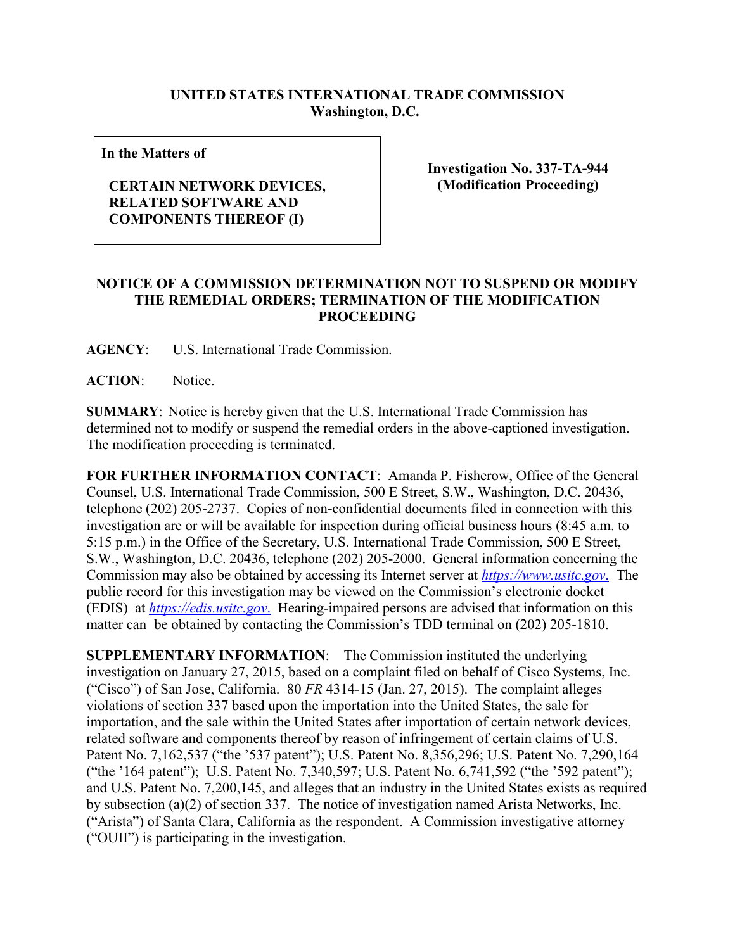## **UNITED STATES INTERNATIONAL TRADE COMMISSION Washington, D.C.**

**In the Matters of**

## **CERTAIN NETWORK DEVICES, RELATED SOFTWARE AND COMPONENTS THEREOF (I)**

**Investigation No. 337-TA-944 (Modification Proceeding)**

## **NOTICE OF A COMMISSION DETERMINATION NOT TO SUSPEND OR MODIFY THE REMEDIAL ORDERS; TERMINATION OF THE MODIFICATION PROCEEDING**

**AGENCY**: U.S. International Trade Commission.

**ACTION**: Notice.

**SUMMARY**: Notice is hereby given that the U.S. International Trade Commission has determined not to modify or suspend the remedial orders in the above-captioned investigation. The modification proceeding is terminated.

**FOR FURTHER INFORMATION CONTACT**: Amanda P. Fisherow, Office of the General Counsel, U.S. International Trade Commission, 500 E Street, S.W., Washington, D.C. 20436, telephone (202) 205-2737. Copies of non-confidential documents filed in connection with this investigation are or will be available for inspection during official business hours (8:45 a.m. to 5:15 p.m.) in the Office of the Secretary, U.S. International Trade Commission, 500 E Street, S.W., Washington, D.C. 20436, telephone (202) 205-2000. General information concerning the Commission may also be obtained by accessing its Internet server at *[https://www.usitc.gov](https://www.usitc.gov./)*. The public record for this investigation may be viewed on the Commission's electronic docket (EDIS) at *[https://edis.usitc.gov](https://edis.usitc.gov./)*. Hearing-impaired persons are advised that information on this matter can be obtained by contacting the Commission's TDD terminal on (202) 205-1810.

**SUPPLEMENTARY INFORMATION**: The Commission instituted the underlying investigation on January 27, 2015, based on a complaint filed on behalf of Cisco Systems, Inc. ("Cisco") of San Jose, California. 80 *FR* 4314-15 (Jan. 27, 2015). The complaint alleges violations of section 337 based upon the importation into the United States, the sale for importation, and the sale within the United States after importation of certain network devices, related software and components thereof by reason of infringement of certain claims of U.S. Patent No. 7,162,537 ("the '537 patent"); U.S. Patent No. 8,356,296; U.S. Patent No. 7,290,164 ("the '164 patent"); U.S. Patent No. 7,340,597; U.S. Patent No. 6,741,592 ("the '592 patent"); and U.S. Patent No. 7,200,145, and alleges that an industry in the United States exists as required by subsection (a)(2) of section 337. The notice of investigation named Arista Networks, Inc. ("Arista") of Santa Clara, California as the respondent. A Commission investigative attorney ("OUII") is participating in the investigation.